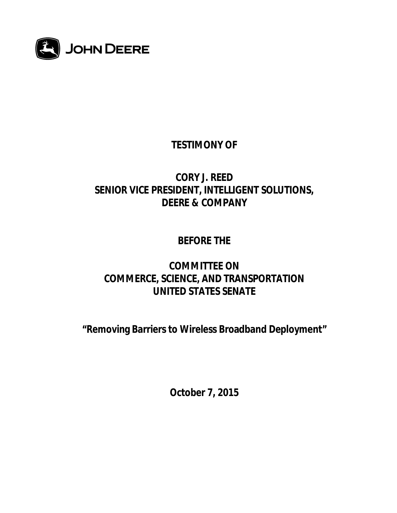

# **TESTIMONY OF**

## **CORY J. REED SENIOR VICE PRESIDENT, INTELLIGENT SOLUTIONS, DEERE & COMPANY**

## **BEFORE THE**

## **COMMITTEE ON COMMERCE, SCIENCE, AND TRANSPORTATION UNITED STATES SENATE**

**"Removing Barriers to Wireless Broadband Deployment"**

**October 7, 2015**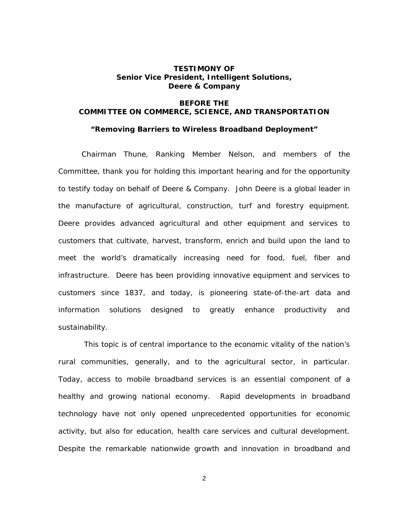#### **TESTIMONY OF Senior Vice President, Intelligent Solutions, Deere & Company**

### **BEFORE THE COMMITTEE ON COMMERCE, SCIENCE, AND TRANSPORTATION**

**"Removing Barriers to Wireless Broadband Deployment"**

Chairman Thune, Ranking Member Nelson, and members of the Committee, thank you for holding this important hearing and for the opportunity to testify today on behalf of Deere & Company. John Deere is a global leader in the manufacture of agricultural, construction, turf and forestry equipment. Deere provides advanced agricultural and other equipment and services to customers that cultivate, harvest, transform, enrich and build upon the land to meet the world's dramatically increasing need for food, fuel, fiber and infrastructure. Deere has been providing innovative equipment and services to customers since 1837, and today, is pioneering state-of-the-art data and information solutions designed to greatly enhance productivity and sustainability.

 This topic is of central importance to the economic vitality of the nation's rural communities, generally, and to the agricultural sector, in particular. Today, access to mobile broadband services is an essential component of a healthy and growing national economy. Rapid developments in broadband technology have not only opened unprecedented opportunities for economic activity, but also for education, health care services and cultural development. Despite the remarkable nationwide growth and innovation in broadband and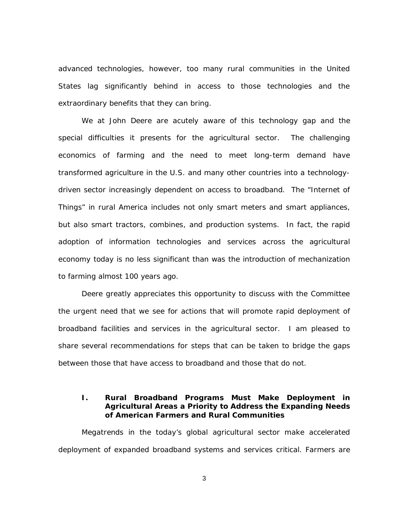advanced technologies, however, too many rural communities in the United States lag significantly behind in access to those technologies and the extraordinary benefits that they can bring.

We at John Deere are acutely aware of this technology gap and the special difficulties it presents for the agricultural sector. The challenging economics of farming and the need to meet long-term demand have transformed agriculture in the U.S. and many other countries into a technologydriven sector increasingly dependent on access to broadband. The "Internet of Things" in rural America includes not only smart meters and smart appliances, but also smart tractors, combines, and production systems. In fact, the rapid adoption of information technologies and services across the agricultural economy today is no less significant than was the introduction of mechanization to farming almost 100 years ago.

Deere greatly appreciates this opportunity to discuss with the Committee the urgent need that we see for actions that will promote rapid deployment of broadband facilities and services in the agricultural sector. I am pleased to share several recommendations for steps that can be taken to bridge the gaps between those that have access to broadband and those that do not.

**I. Rural Broadband Programs Must Make Deployment in Agricultural Areas a Priority to Address the Expanding Needs of American Farmers and Rural Communities**

Megatrends in the today's global agricultural sector make accelerated deployment of expanded broadband systems and services critical. Farmers are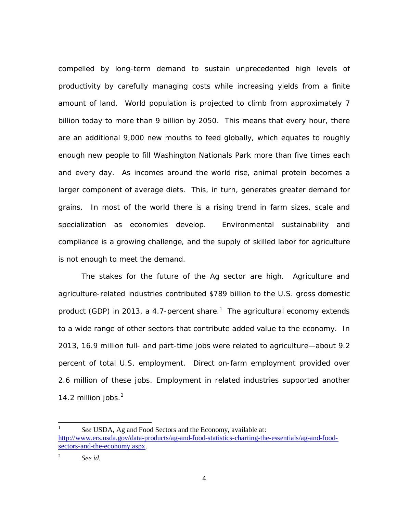compelled by long-term demand to sustain unprecedented high levels of productivity by carefully managing costs while increasing yields from a finite amount of land. World population is projected to climb from approximately 7 billion today to more than 9 billion by 2050. This means that every hour, there are an additional 9,000 new mouths to feed globally, which equates to roughly enough new people to fill Washington Nationals Park more than five times each and every day. As incomes around the world rise, animal protein becomes a larger component of average diets. This, in turn, generates greater demand for grains. In most of the world there is a rising trend in farm sizes, scale and specialization as economies develop. Environmental sustainability and compliance is a growing challenge, and the supply of skilled labor for agriculture is not enough to meet the demand.

The stakes for the future of the Ag sector are high. Agriculture and agriculture-related industries contributed \$789 billion to the U.S. gross domestic product (GDP) in 20[1](#page-3-0)3, a 4.7-percent share.<sup>1</sup> The agricultural economy extends to a wide range of other sectors that contribute added value to the economy. In 2013, 16.9 million full- and part-time jobs were related to agriculture—about 9.2 percent of total U.S. employment. Direct on-farm employment provided over 2.6 million of these jobs. Employment in related industries supported another 14.[2](#page-3-1) million jobs. $<sup>2</sup>$ </sup>

<span id="page-3-0"></span>1 *See* USDA, Ag and Food Sectors and the Economy, available at: [http://www.ers.usda.gov/data-products/ag-and-food-statistics-charting-the-essentials/ag-and-food](http://www.ers.usda.gov/data-products/ag-and-food-statistics-charting-the-essentials/ag-and-food-sectors-and-the-economy.aspx)sectors-and-the-economy.aspx. 2

<span id="page-3-1"></span>*See id.*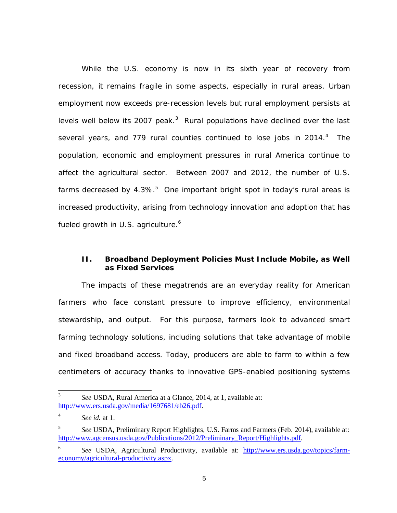While the U.S. economy is now in its sixth year of recovery from recession, it remains fragile in some aspects, especially in rural areas. Urban employment now exceeds pre-recession levels but rural employment persists at levels well below its 2007 peak. $3$  Rural populations have declined over the last severalyears, and 779 rural counties continued to lose jobs in 2014.<sup>4</sup> The population, economic and employment pressures in rural America continue to affect the agricultural sector. Between 2007 and 2012, the number of U.S. farmsdecreased by 4.3%. $5$  One important bright spot in today's rural areas is increased productivity, arising from technology innovation and adoption that has fueled growth in U.S. agriculture.<sup>6</sup>

#### **II. Broadband Deployment Policies Must Include Mobile, as Well as Fixed Services**

The impacts of these megatrends are an everyday reality for American farmers who face constant pressure to improve efficiency, environmental stewardship, and output. For this purpose, farmers look to advanced smart farming technology solutions, including solutions that take advantage of mobile and fixed broadband access. Today, producers are able to farm to within a few centimeters of accuracy thanks to innovative GPS-enabled positioning systems

<span id="page-4-0"></span><sup>3</sup> *See* USDA, Rural America at a Glance, 2014, at 1, available at: [http://www.ers.usda.gov/media/1697681/eb26.pdf.](http://www.ers.usda.gov/media/1697681/eb26.pdf)

<span id="page-4-1"></span><sup>4</sup> *See id.* at 1.

<span id="page-4-2"></span><sup>5</sup> *See* USDA, Preliminary Report Highlights, U.S. Farms and Farmers (Feb. 2014), available at: [http://www.agcensus.usda.gov/Publications/2012/Preliminary\\_Report/Highlights.pdf.](http://www.agcensus.usda.gov/Publications/2012/Preliminary_Report/Highlights.pdf)

<sup>6</sup> See USDA, Agricultural Productivity, available at: [http://www.ers.usda.gov/topics/farm](http://www.ers.usda.gov/topics/farm-economy/agricultural-productivity.aspx)economy/agricultural-productivity.aspx.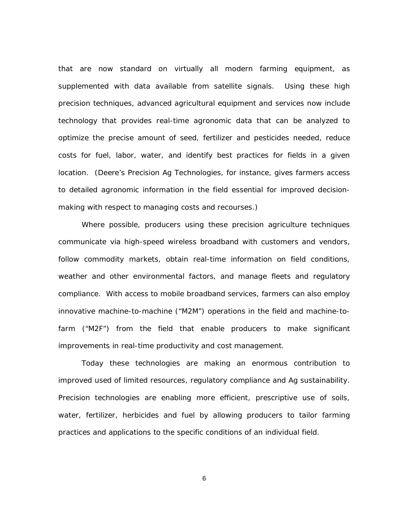that are now standard on virtually all modern farming equipment, as supplemented with data available from satellite signals. Using these high precision techniques, advanced agricultural equipment and services now include technology that provides real-time agronomic data that can be analyzed to optimize the precise amount of seed, fertilizer and pesticides needed, reduce costs for fuel, labor, water, and identify best practices for fields in a given location. (Deere's Precision Ag Technologies, for instance, gives farmers access to detailed agronomic information in the field essential for improved decisionmaking with respect to managing costs and recourses.)

Where possible, producers using these precision agriculture techniques communicate via high-speed wireless broadband with customers and vendors, follow commodity markets, obtain real-time information on field conditions, weather and other environmental factors, and manage fleets and regulatory compliance. With access to mobile broadband services, farmers can also employ innovative machine-to-machine ("M2M") operations in the field and machine-tofarm ("M2F") from the field that enable producers to make significant improvements in real-time productivity and cost management.

Today these technologies are making an enormous contribution to improved used of limited resources, regulatory compliance and Ag sustainability. Precision technologies are enabling more efficient, prescriptive use of soils, water, fertilizer, herbicides and fuel by allowing producers to tailor farming practices and applications to the specific conditions of an individual field.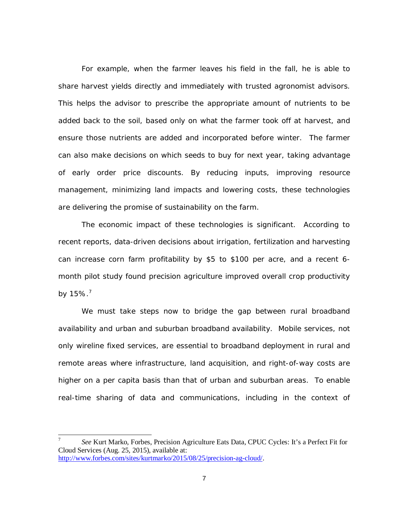For example, when the farmer leaves his field in the fall, he is able to share harvest yields directly and immediately with trusted agronomist advisors. This helps the advisor to prescribe the appropriate amount of nutrients to be added back to the soil, based only on what the farmer took off at harvest, and ensure those nutrients are added and incorporated before winter. The farmer can also make decisions on which seeds to buy for next year, taking advantage of early order price discounts. By reducing inputs, improving resource management, minimizing land impacts and lowering costs, these technologies are delivering the promise of sustainability on the farm.

The economic impact of these technologies is significant. According to recent reports, data-driven decisions about irrigation, fertilization and harvesting can increase corn farm profitability by \$5 to \$100 per acre, and a recent 6 month pilot study found precision agriculture improved overall crop productivity by  $15\%$ .<sup>[7](#page-6-0)</sup>

We must take steps now to bridge the gap between rural broadband availability and urban and suburban broadband availability. Mobile services, not only wireline fixed services, are essential to broadband deployment in rural and remote areas where infrastructure, land acquisition, and right-of-way costs are higher on a per capita basis than that of urban and suburban areas. To enable real-time sharing of data and communications, including in the context of

<span id="page-6-0"></span><sup>7</sup> *See* Kurt Marko, Forbes, Precision Agriculture Eats Data, CPUC Cycles: It's a Perfect Fit for Cloud Services (Aug. 25, 2015), available at: [http://www.forbes.com/sites/kurtmarko/2015/08/25/precision-ag-cloud/.](http://www.forbes.com/sites/kurtmarko/2015/08/25/precision-ag-cloud/)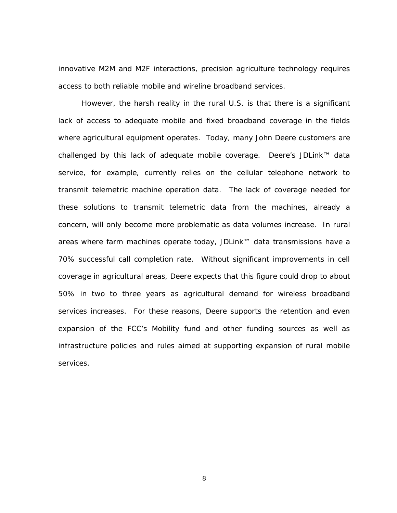innovative M2M and M2F interactions, precision agriculture technology requires access to both reliable mobile and wireline broadband services.

However, the harsh reality in the rural U.S. is that there is a significant lack of access to adequate mobile and fixed broadband coverage in the fields where agricultural equipment operates. Today, many John Deere customers are challenged by this lack of adequate mobile coverage. Deere's JDLink™ data service, for example, currently relies on the cellular telephone network to transmit telemetric machine operation data. The lack of coverage needed for these solutions to transmit telemetric data from the machines, already a concern, will only become more problematic as data volumes increase. In rural areas where farm machines operate today, JDLink™ data transmissions have a 70% successful call completion rate. Without significant improvements in cell coverage in agricultural areas, Deere expects that this figure could drop to about 50% in two to three years as agricultural demand for wireless broadband services increases. For these reasons, Deere supports the retention and even expansion of the FCC's Mobility fund and other funding sources as well as infrastructure policies and rules aimed at supporting expansion of rural mobile services.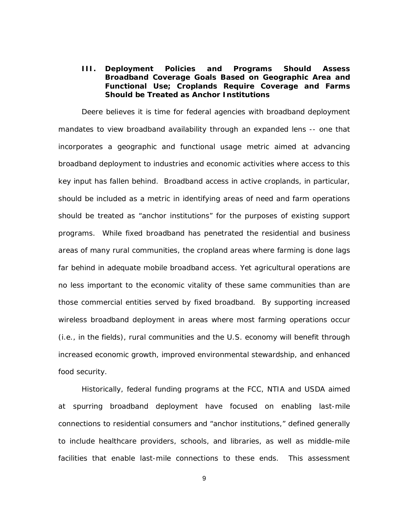**III. Deployment Policies and Programs Should Assess Broadband Coverage Goals Based on Geographic Area and Functional Use; Croplands Require Coverage and Farms Should be Treated as Anchor Institutions**

Deere believes it is time for federal agencies with broadband deployment mandates to view broadband availability through an expanded lens -- one that incorporates a geographic and functional usage metric aimed at advancing broadband deployment to industries and economic activities where access to this key input has fallen behind. Broadband access in active croplands, in particular, should be included as a metric in identifying areas of need and farm operations should be treated as "anchor institutions" for the purposes of existing support programs. While fixed broadband has penetrated the residential and business areas of many rural communities, the cropland areas where farming is done lags far behind in adequate mobile broadband access. Yet agricultural operations are no less important to the economic vitality of these same communities than are those commercial entities served by fixed broadband. By supporting increased wireless broadband deployment in areas where most farming operations occur (*i.e.*, in the fields), rural communities and the U.S. economy will benefit through increased economic growth, improved environmental stewardship, and enhanced food security.

Historically, federal funding programs at the FCC, NTIA and USDA aimed at spurring broadband deployment have focused on enabling last-mile connections to residential consumers and "anchor institutions," defined generally to include healthcare providers, schools, and libraries, as well as middle-mile facilities that enable last-mile connections to these ends. This assessment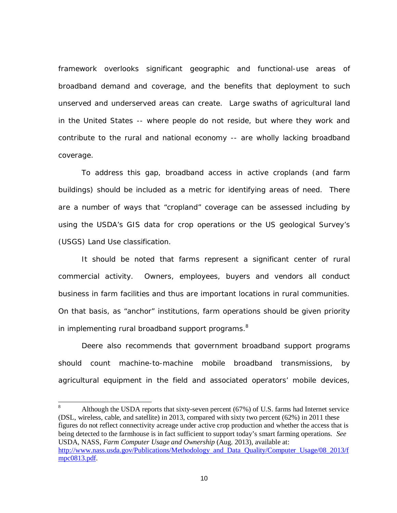framework overlooks significant geographic and functional-use areas of broadband demand and coverage, and the benefits that deployment to such unserved and underserved areas can create. Large swaths of agricultural land in the United States -- where people do not reside, but where they work and contribute to the rural and national economy -- are wholly lacking broadband coverage.

To address this gap, broadband access in active croplands (and farm buildings) should be included as a metric for identifying areas of need. There are a number of ways that "cropland" coverage can be assessed including by using the USDA's GIS data for crop operations or the US geological Survey's (USGS) Land Use classification.

It should be noted that farms represent a significant center of rural commercial activity. Owners, employees, buyers and vendors all conduct business in farm facilities and thus are important locations in rural communities. On that basis, as "anchor" institutions, farm operations should be given priority in implementing rural broadband support programs.<sup>[8](#page-9-0)</sup>

Deere also recommends that government broadband support programs should count machine-to-machine mobile broadband transmissions, by agricultural equipment in the field and associated operators' mobile devices,

<span id="page-9-0"></span><sup>8</sup> Although the USDA reports that sixty-seven percent (67%) of U.S. farms had Internet service (DSL, wireless, cable, and satellite) in 2013, compared with sixty two percent (62%) in 2011 these figures do not reflect connectivity acreage under active crop production and whether the access that is being detected to the farmhouse is in fact sufficient to support today's smart farming operations. *See* USDA, NASS, *Farm Computer Usage and Ownership* (Aug. 2013), available at: [http://www.nass.usda.gov/Publications/Methodology\\_and\\_Data\\_Quality/Computer\\_Usage/08\\_2013/f](http://www.nass.usda.gov/Publications/Methodology_and_Data_Quality/Computer_Usage/08_2013/fmpc0813.pdf) mpc0813.pdf.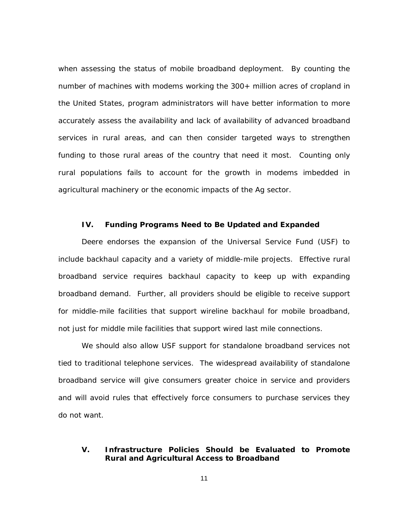when assessing the status of mobile broadband deployment. By counting the number of machines with modems working the 300+ million acres of cropland in the United States, program administrators will have better information to more accurately assess the availability and lack of availability of advanced broadband services in rural areas, and can then consider targeted ways to strengthen funding to those rural areas of the country that need it most. Counting only rural populations fails to account for the growth in modems imbedded in agricultural machinery or the economic impacts of the Ag sector.

### **IV. Funding Programs Need to Be Updated and Expanded**

Deere endorses the expansion of the Universal Service Fund (USF) to include backhaul capacity and a variety of middle-mile projects. Effective rural broadband service requires backhaul capacity to keep up with expanding broadband demand. Further, all providers should be eligible to receive support for middle-mile facilities that support wireline backhaul for mobile broadband, not just for middle mile facilities that support wired last mile connections.

We should also allow USF support for standalone broadband services not tied to traditional telephone services. The widespread availability of standalone broadband service will give consumers greater choice in service and providers and will avoid rules that effectively force consumers to purchase services they do not want.

### **V. Infrastructure Policies Should be Evaluated to Promote Rural and Agricultural Access to Broadband**